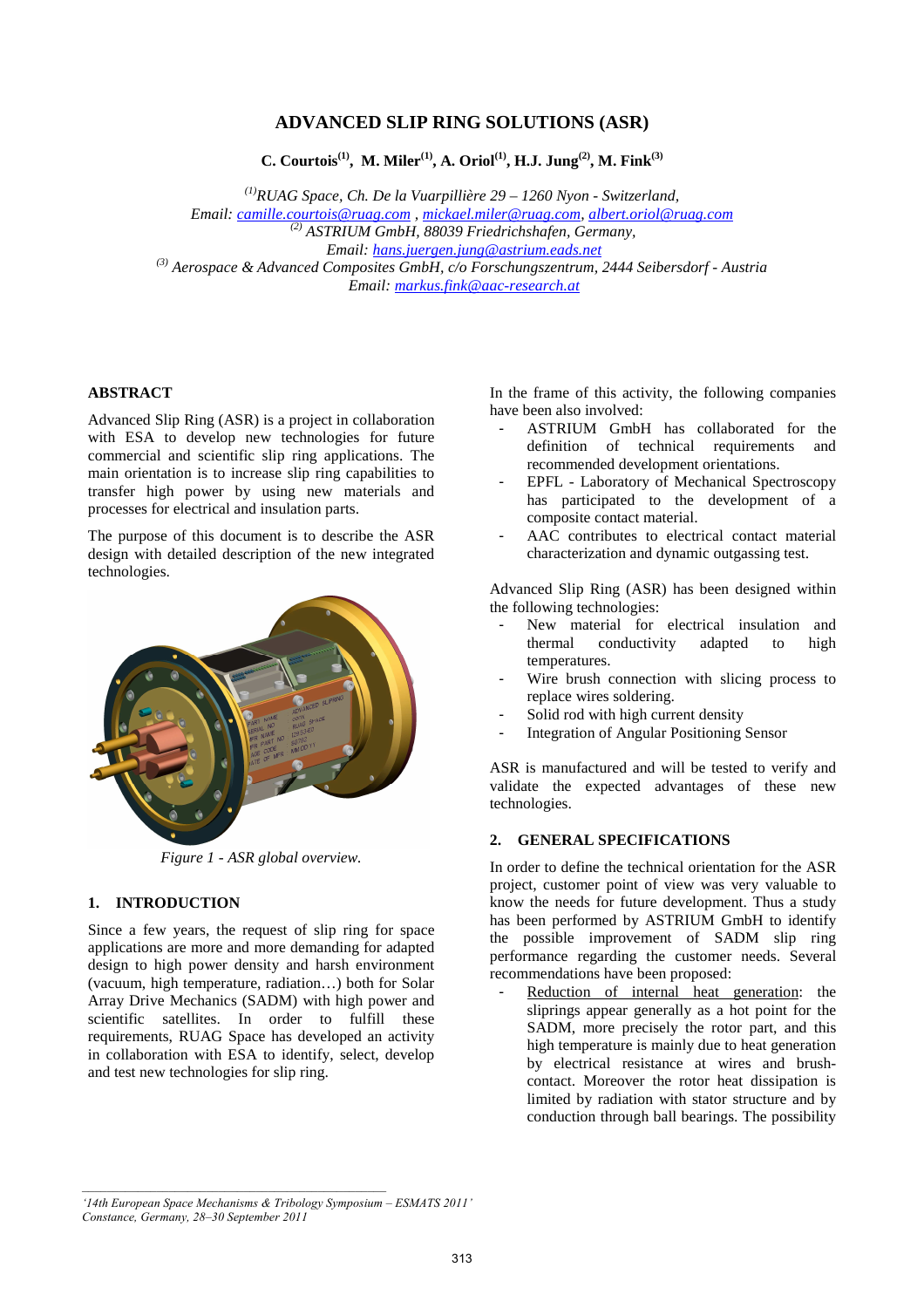# **ADVANCED SLIP RING SOLUTIONS (ASR)**

**C. Courtois(1), M. Miler(1), A. Oriol(1), H.J. Jung(2), M. Fink(3)**

*(1)RUAG Space, Ch. De la Vuarpillière 29 – 1260 Nyon - Switzerland, Email: camille.courtois@ruag.com , mickael.miler@ruag.com, albert.oriol@ruag.com* 

 *(2) ASTRIUM GmbH, 88039 Friedrichshafen, Germany, Email: hans.juergen.jung@astrium.eads.net (3) Aerospace & Advanced Composites GmbH, c/o Forschungszentrum, 2444 Seibersdorf - Austria Email: markus.fink@aac-research.at* 

## **ABSTRACT**

Advanced Slip Ring (ASR) is a project in collaboration with ESA to develop new technologies for future commercial and scientific slip ring applications. The main orientation is to increase slip ring capabilities to transfer high power by using new materials and processes for electrical and insulation parts.

The purpose of this document is to describe the ASR design with detailed description of the new integrated technologies.



*Figure 1 - ASR global overview.* 

## **1. INTRODUCTION**

Since a few years, the request of slip ring for space applications are more and more demanding for adapted design to high power density and harsh environment (vacuum, high temperature, radiation…) both for Solar Array Drive Mechanics (SADM) with high power and scientific satellites. In order to fulfill these requirements, RUAG Space has developed an activity in collaboration with ESA to identify, select, develop and test new technologies for slip ring.

In the frame of this activity, the following companies have been also involved:

- ASTRIUM GmbH has collaborated for the definition of technical requirements and recommended development orientations.
- EPFL Laboratory of Mechanical Spectroscopy has participated to the development of a composite contact material.
- AAC contributes to electrical contact material characterization and dynamic outgassing test.

Advanced Slip Ring (ASR) has been designed within the following technologies:

- New material for electrical insulation and<br>thermal conductivity adapted to high thermal conductivity adapted to high temperatures.
- Wire brush connection with slicing process to replace wires soldering.
- Solid rod with high current density
- Integration of Angular Positioning Sensor

ASR is manufactured and will be tested to verify and validate the expected advantages of these new technologies.

# **2. GENERAL SPECIFICATIONS**

In order to define the technical orientation for the ASR project, customer point of view was very valuable to know the needs for future development. Thus a study has been performed by ASTRIUM GmbH to identify the possible improvement of SADM slip ring performance regarding the customer needs. Several recommendations have been proposed:

Reduction of internal heat generation: the sliprings appear generally as a hot point for the SADM, more precisely the rotor part, and this high temperature is mainly due to heat generation by electrical resistance at wires and brushcontact. Moreover the rotor heat dissipation is limited by radiation with stator structure and by conduction through ball bearings. The possibility

*<sup>&#</sup>x27;14th European Space Mechanisms & Tribology Symposium – ESMATS 2011' Constance, Germany, 28–30 September 2011*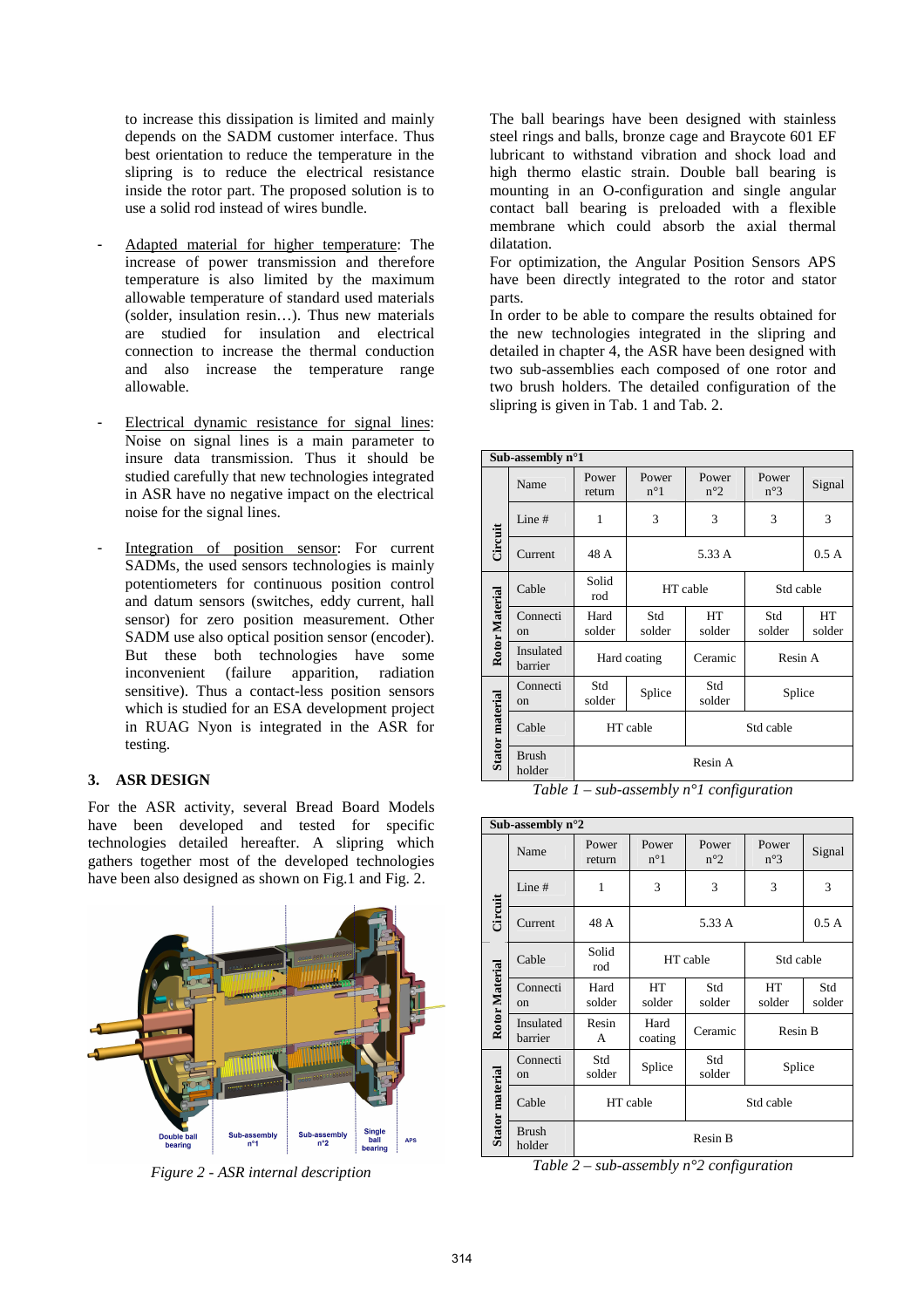to increase this dissipation is limited and mainly depends on the SADM customer interface. Thus best orientation to reduce the temperature in the slipring is to reduce the electrical resistance inside the rotor part. The proposed solution is to use a solid rod instead of wires bundle.

- Adapted material for higher temperature: The increase of power transmission and therefore temperature is also limited by the maximum allowable temperature of standard used materials (solder, insulation resin…). Thus new materials are studied for insulation and electrical connection to increase the thermal conduction and also increase the temperature range allowable.
- Electrical dynamic resistance for signal lines: Noise on signal lines is a main parameter to insure data transmission. Thus it should be studied carefully that new technologies integrated in ASR have no negative impact on the electrical noise for the signal lines.
- Integration of position sensor: For current SADMs, the used sensors technologies is mainly potentiometers for continuous position control and datum sensors (switches, eddy current, hall sensor) for zero position measurement. Other SADM use also optical position sensor (encoder). But these both technologies have some inconvenient (failure apparition, radiation sensitive). Thus a contact-less position sensors which is studied for an ESA development project in RUAG Nyon is integrated in the ASR for testing.

## **3. ASR DESIGN**

For the ASR activity, several Bread Board Models have been developed and tested for specific technologies detailed hereafter. A slipring which gathers together most of the developed technologies have been also designed as shown on Fig.1 and Fig. 2.



*Figure 2 - ASR internal description* 

The ball bearings have been designed with stainless steel rings and balls, bronze cage and Braycote 601 EF lubricant to withstand vibration and shock load and high thermo elastic strain. Double ball bearing is mounting in an O-configuration and single angular contact ball bearing is preloaded with a flexible membrane which could absorb the axial thermal dilatation.

For optimization, the Angular Position Sensors APS have been directly integrated to the rotor and stator parts.

In order to be able to compare the results obtained for the new technologies integrated in the slipring and detailed in chapter 4, the ASR have been designed with two sub-assemblies each composed of one rotor and two brush holders. The detailed configuration of the slipring is given in Tab. 1 and Tab. 2.

| Sub-assembly $n^{\circ}1$ |                         |                 |                       |                       |                       |              |
|---------------------------|-------------------------|-----------------|-----------------------|-----------------------|-----------------------|--------------|
| Circuit                   | Name                    | Power<br>return | Power<br>$n^{\circ}1$ | Power<br>$n^{\circ}2$ | Power<br>$n^{\circ}3$ | Signal       |
|                           | Line#                   | 1               | 3                     | 3                     | 3                     | 3            |
|                           | Current                 | 48 A            | 5.33 A                |                       |                       | 0.5A         |
| Rotor Material            | Cable                   | Solid<br>rod    | HT cable              |                       | Std cable             |              |
|                           | Connecti<br>$_{\rm on}$ | Hard<br>solder  | Std<br>solder         | HT<br>solder          | Std<br>solder         | HT<br>solder |
|                           | Insulated<br>barrier    | Hard coating    |                       | Ceramic               | Resin A               |              |
| Stator material           | Connecti<br>on          | Std<br>solder   | Splice                | Std<br>solder         | Splice                |              |
|                           | Cable                   | HT cable        |                       | Std cable             |                       |              |
|                           | <b>Brush</b><br>holder  | Resin A         |                       |                       |                       |              |

*Table 1 – sub-assembly n°1 configuration* 

| Sub-assembly $n^{\circ}2$ |                        |                 |                       |                       |                       |               |
|---------------------------|------------------------|-----------------|-----------------------|-----------------------|-----------------------|---------------|
| Circuit                   | Name                   | Power<br>return | Power<br>$n^{\circ}1$ | Power<br>$n^{\circ}2$ | Power<br>$n^{\circ}3$ | Signal        |
|                           | Line #                 | 1               | 3                     | 3                     | 3                     | 3             |
|                           | Current                | 48 A            | 5.33 A                |                       |                       | 0.5A          |
| Rotor Material            | Cable                  | Solid<br>rod    | HT cable              |                       | Std cable             |               |
|                           | Connecti<br>on         | Hard<br>solder  | <b>HT</b><br>solder   | Std<br>solder         | HT<br>solder          | Std<br>solder |
|                           | Insulated<br>barrier   | Resin<br>A      | Hard<br>coating       | Ceramic               | Resin B               |               |
| Stator material           | Connecti<br>on         | Std<br>solder   | Splice                | Std<br>solder         | Splice                |               |
|                           | Cable                  | HT cable        |                       | Std cable             |                       |               |
|                           | <b>Brush</b><br>holder | Resin B         |                       |                       |                       |               |

*Table 2 – sub-assembly n°2 configuration*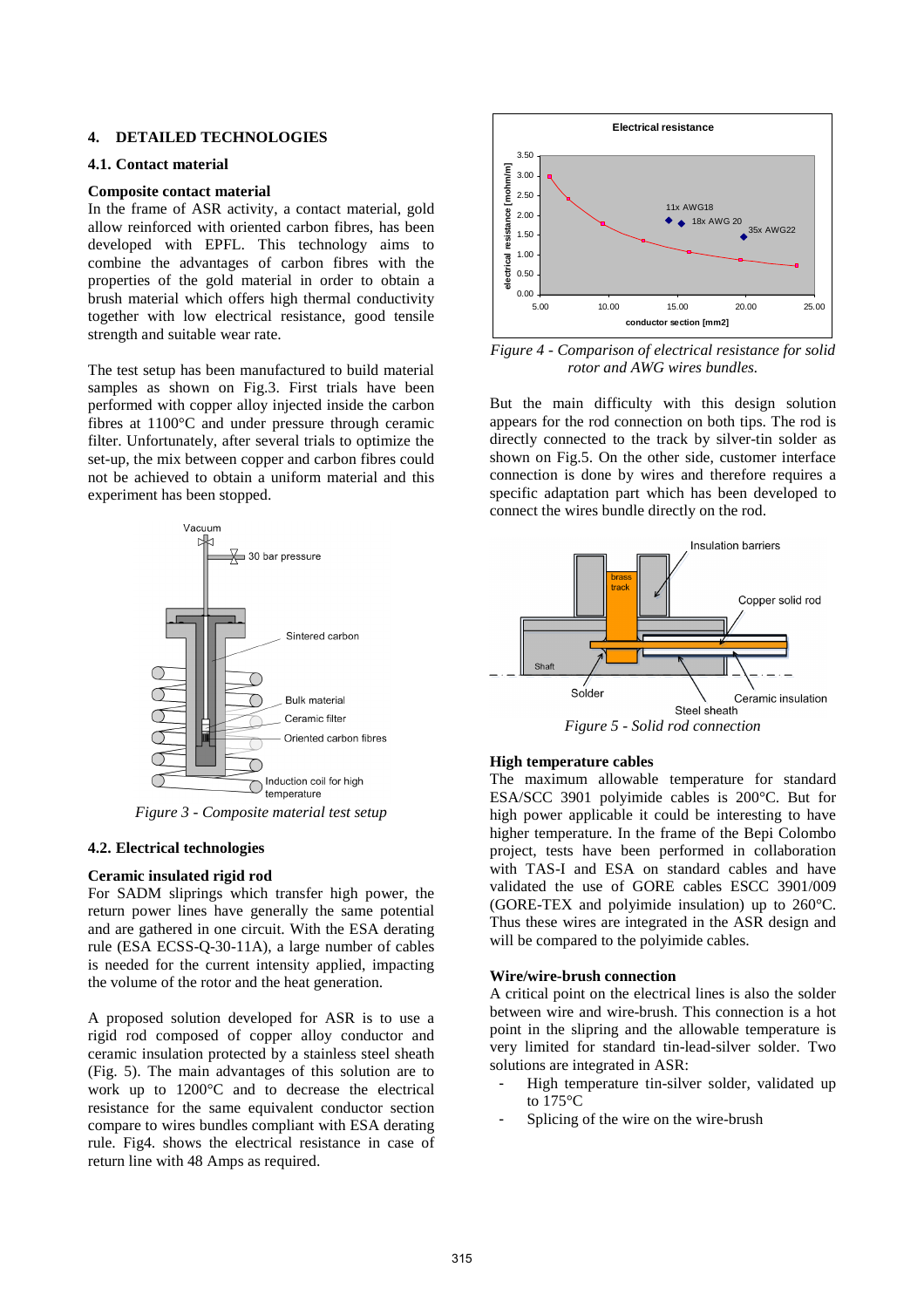### **4. DETAILED TECHNOLOGIES**

#### **4.1. Contact material**

#### **Composite contact material**

In the frame of ASR activity, a contact material, gold allow reinforced with oriented carbon fibres, has been developed with EPFL. This technology aims to combine the advantages of carbon fibres with the properties of the gold material in order to obtain a brush material which offers high thermal conductivity together with low electrical resistance, good tensile strength and suitable wear rate.

The test setup has been manufactured to build material samples as shown on Fig.3. First trials have been performed with copper alloy injected inside the carbon fibres at 1100°C and under pressure through ceramic filter. Unfortunately, after several trials to optimize the set-up, the mix between copper and carbon fibres could not be achieved to obtain a uniform material and this experiment has been stopped.



*Figure 3 - Composite material test setup*

#### **4.2. Electrical technologies**

## **Ceramic insulated rigid rod**

For SADM sliprings which transfer high power, the return power lines have generally the same potential and are gathered in one circuit. With the ESA derating rule (ESA ECSS-Q-30-11A), a large number of cables is needed for the current intensity applied, impacting the volume of the rotor and the heat generation.

A proposed solution developed for ASR is to use a rigid rod composed of copper alloy conductor and ceramic insulation protected by a stainless steel sheath (Fig. 5). The main advantages of this solution are to work up to 1200°C and to decrease the electrical resistance for the same equivalent conductor section compare to wires bundles compliant with ESA derating rule. Fig4. shows the electrical resistance in case of return line with 48 Amps as required.



*Figure 4 - Comparison of electrical resistance for solid rotor and AWG wires bundles.*

But the main difficulty with this design solution appears for the rod connection on both tips. The rod is directly connected to the track by silver-tin solder as shown on Fig.5. On the other side, customer interface connection is done by wires and therefore requires a specific adaptation part which has been developed to connect the wires bundle directly on the rod.



#### **High temperature cables**

The maximum allowable temperature for standard ESA/SCC 3901 polyimide cables is 200°C. But for high power applicable it could be interesting to have higher temperature. In the frame of the Bepi Colombo project, tests have been performed in collaboration with TAS-I and ESA on standard cables and have validated the use of GORE cables ESCC 3901/009 (GORE-TEX and polyimide insulation) up to 260°C. Thus these wires are integrated in the ASR design and will be compared to the polyimide cables.

### **Wire/wire-brush connection**

A critical point on the electrical lines is also the solder between wire and wire-brush. This connection is a hot point in the slipring and the allowable temperature is very limited for standard tin-lead-silver solder. Two solutions are integrated in ASR:

- High temperature tin-silver solder, validated up to 175°C
- Splicing of the wire on the wire-brush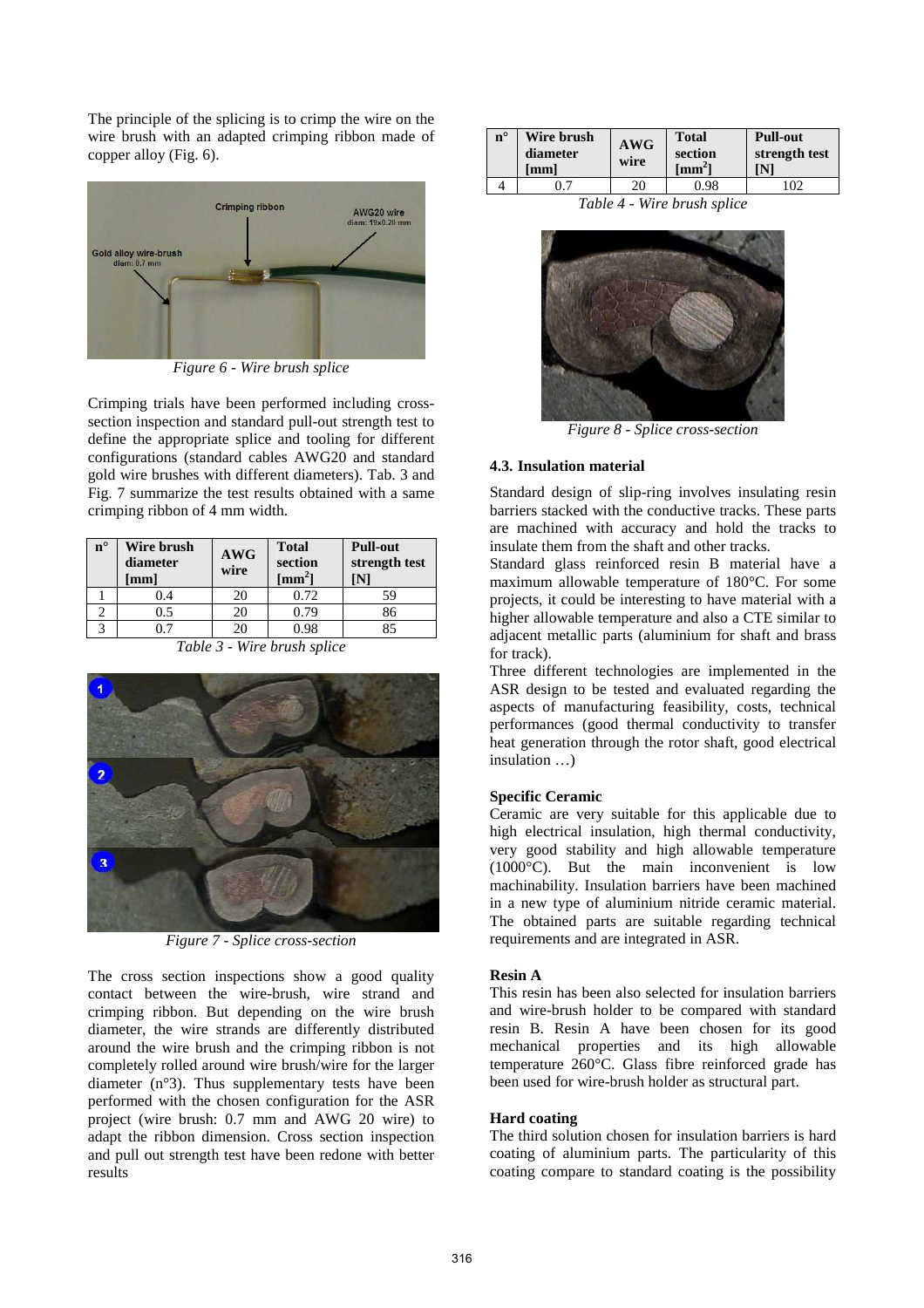The principle of the splicing is to crimp the wire on the wire brush with an adapted crimping ribbon made of copper alloy (Fig. 6).



*Figure 6 - Wire brush splice* 

Crimping trials have been performed including crosssection inspection and standard pull-out strength test to define the appropriate splice and tooling for different configurations (standard cables AWG20 and standard gold wire brushes with different diameters). Tab. 3 and Fig. 7 summarize the test results obtained with a same crimping ribbon of 4 mm width.

| $n^{\circ}$ | Wire brush<br>diameter<br>$\lceil$ mm $\rceil$ | <b>AWG</b><br>wire | <b>Total</b><br>section<br>$\lceil \mathbf{mm}^2 \rceil$ | <b>Pull-out</b><br>strength test |  |
|-------------|------------------------------------------------|--------------------|----------------------------------------------------------|----------------------------------|--|
|             | 0.4                                            | 20                 | 0.72                                                     | 59                               |  |
|             | 0.5                                            |                    | 0.79                                                     |                                  |  |
|             |                                                |                    |                                                          |                                  |  |

*Table 3 - Wire brush splice* 



*Figure 7 - Splice cross-section* 

The cross section inspections show a good quality contact between the wire-brush, wire strand and crimping ribbon. But depending on the wire brush diameter, the wire strands are differently distributed around the wire brush and the crimping ribbon is not completely rolled around wire brush/wire for the larger diameter (n°3). Thus supplementary tests have been performed with the chosen configuration for the ASR project (wire brush: 0.7 mm and AWG 20 wire) to adapt the ribbon dimension. Cross section inspection and pull out strength test have been redone with better results

| $n^{\circ}$ | Wire brush<br>diameter<br>[mm] | AWG<br>wire | <b>Total</b><br>section<br>[ $mm2$ ] | <b>Pull-out</b><br>strength test<br>'N1 |
|-------------|--------------------------------|-------------|--------------------------------------|-----------------------------------------|
|             |                                | 20          | 0.98                                 | $\Omega$                                |

*Table 4 - Wire brush splice* 



*Figure 8 - Splice cross-section* 

# **4.3. Insulation material**

Standard design of slip-ring involves insulating resin barriers stacked with the conductive tracks. These parts are machined with accuracy and hold the tracks to insulate them from the shaft and other tracks.

Standard glass reinforced resin B material have a maximum allowable temperature of 180°C. For some projects, it could be interesting to have material with a higher allowable temperature and also a CTE similar to adjacent metallic parts (aluminium for shaft and brass for track).

Three different technologies are implemented in the ASR design to be tested and evaluated regarding the aspects of manufacturing feasibility, costs, technical performances (good thermal conductivity to transfer heat generation through the rotor shaft, good electrical insulation …)

# **Specific Ceramic**

Ceramic are very suitable for this applicable due to high electrical insulation, high thermal conductivity, very good stability and high allowable temperature (1000°C). But the main inconvenient is low machinability. Insulation barriers have been machined in a new type of aluminium nitride ceramic material. The obtained parts are suitable regarding technical requirements and are integrated in ASR.

## **Resin A**

This resin has been also selected for insulation barriers and wire-brush holder to be compared with standard resin B. Resin A have been chosen for its good mechanical properties and its high allowable temperature 260°C. Glass fibre reinforced grade has been used for wire-brush holder as structural part.

## **Hard coating**

The third solution chosen for insulation barriers is hard coating of aluminium parts. The particularity of this coating compare to standard coating is the possibility